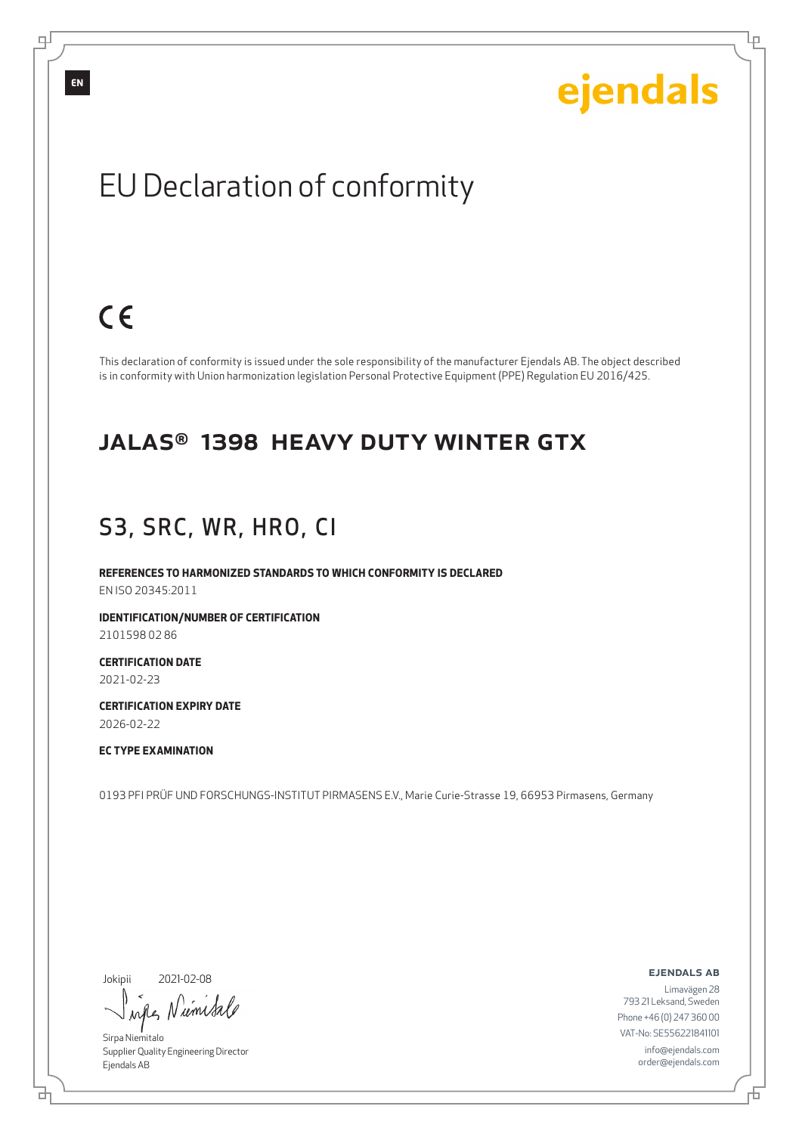### EU Declaration of conformity

### $C<sub>6</sub>$

This declaration of conformity is issued under the sole responsibility of the manufacturer Ejendals AB. The object described is in conformity with Union harmonization legislation Personal Protective Equipment (PPE) Regulation EU 2016/425.

#### JALAS® 1398 HEAVY DUTY WINTER GTX

### S3, SRC, WR, HRO, CI

**REFERENCES TO HARMONIZED STANDARDS TO WHICH CONFORMITY IS DECLARED** EN ISO 20345:2011

**IDENTIFICATION/NUMBER OF CERTIFICATION**

2101598 02 86

**CERTIFICATION DATE** 2021-02-23

**CERTIFICATION EXPIRY DATE** 2026-02-22

#### **EC TYPE EXAMINATION**

0193 PFI PRÜF UND FORSCHUNGS-INSTITUT PIRMASENS E.V., Marie Curie-Strasse 19, 66953 Pirmasens, Germany

Jokipii

브

2021-02-08

wife Numita

Sirpa Niemitalo Supplier Quality Engineering Director Ejendals AB

ejendals ab

Limavägen 28 793 21 Leksand, Sweden Phone +46 (0) 247 360 00 VAT-No: SE556221841101 info@ejendals.com order@ejendals.com

டி

**EN**

Б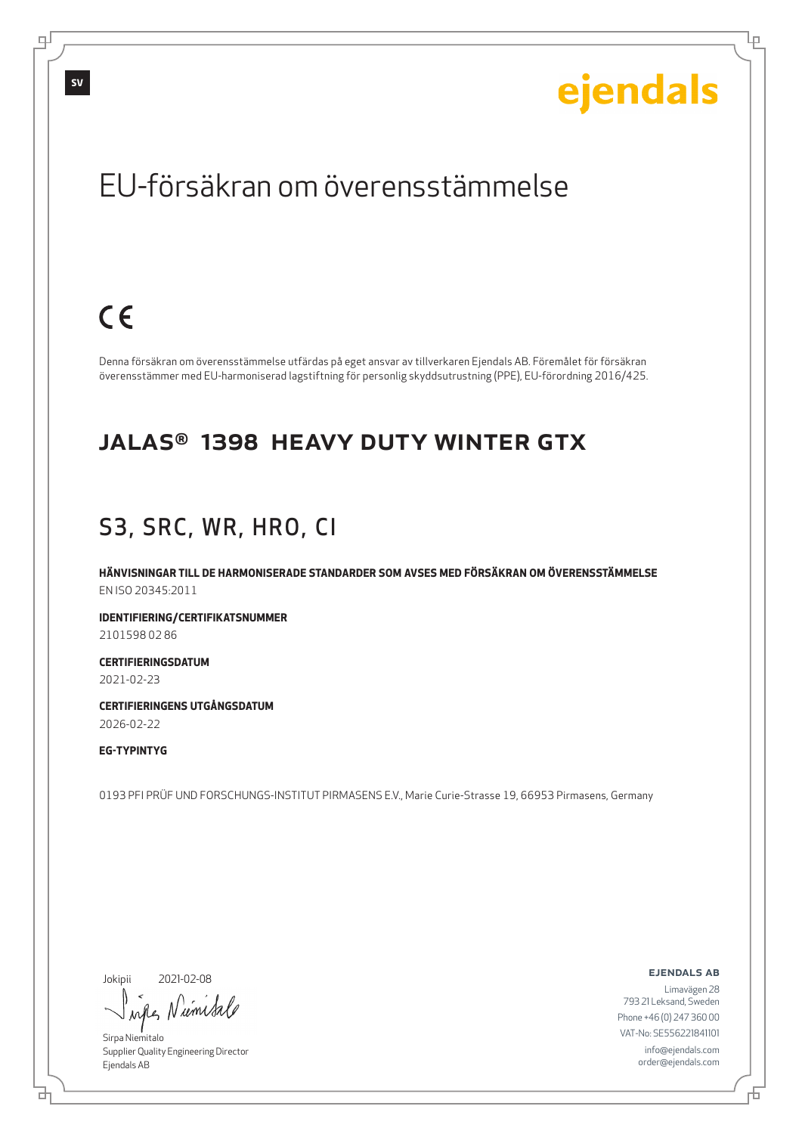Lр

### EU-försäkran om överensstämmelse

### $C \in$

Denna försäkran om överensstämmelse utfärdas på eget ansvar av tillverkaren Ejendals AB. Föremålet för försäkran överensstämmer med EU-harmoniserad lagstiftning för personlig skyddsutrustning (PPE), EU-förordning 2016/425.

#### JALAS® 1398 HEAVY DUTY WINTER GTX

### S3, SRC, WR, HRO, CI

**HÄNVISNINGAR TILL DE HARMONISERADE STANDARDER SOM AVSES MED FÖRSÄKRAN OM ÖVERENSSTÄMMELSE** EN ISO 20345:2011

**IDENTIFIERING/CERTIFIKATSNUMMER** 2101598 02 86

**CERTIFIERINGSDATUM** 2021-02-23

**CERTIFIERINGENS UTGÅNGSDATUM** 2026-02-22

#### **EG-TYPINTYG**

0193 PFI PRÜF UND FORSCHUNGS-INSTITUT PIRMASENS E.V., Marie Curie-Strasse 19, 66953 Pirmasens, Germany

Jokipii

브

2021-02-08

wife Numita

Sirpa Niemitalo Supplier Quality Engineering Director Ejendals AB

ejendals ab

Б

Limavägen 28 793 21 Leksand, Sweden Phone +46 (0) 247 360 00 VAT-No: SE556221841101 info@ejendals.com order@ejendals.com

டி

**SV**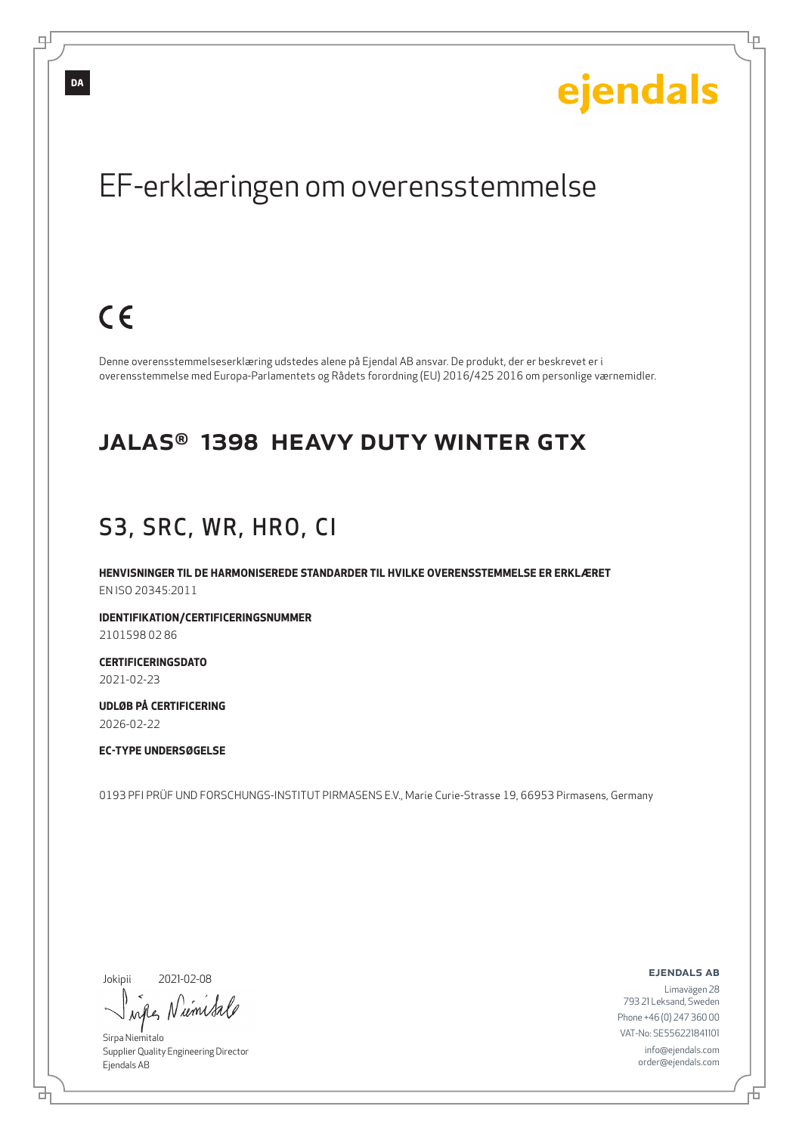### EF-erklæringen om overensstemmelse

### $C \in$

Denne overensstemmelseserklæring udstedes alene på Ejendal AB ansvar. De produkt, der er beskrevet er i overensstemmelse med Europa-Parlamentets og Rådets forordning (EU) 2016/425 2016 om personlige værnemidler.

#### JALAS® 1398 HEAVY DUTY WINTER GTX

### S3, SRC, WR, HRO, CI

**HENVISNINGER TIL DE HARMONISEREDE STANDARDER TIL HVILKE OVERENSSTEMMELSE ER ERKLÆRET** EN ISO 20345:2011

**IDENTIFIKATION/CERTIFICERINGSNUMMER** 2101598 02 86

**CERTIFICERINGSDATO** 2021-02-23

**UDLØB PÅ CERTIFICERING** 2026-02-22

**EC-TYPE UNDERSØGELSE**

0193 PFI PRÜF UND FORSCHUNGS-INSTITUT PIRMASENS E.V., Marie Curie-Strasse 19, 66953 Pirmasens, Germany

Jokipii

б

2021-02-08

wife Niemisa

Sirpa Niemitalo Supplier Quality Engineering Director Ejendals AB

ejendals ab

Б

Limavägen 28 793 21 Leksand, Sweden Phone +46 (0) 247 360 00 VAT-No: SE556221841101 info@ejendals.com order@ejendals.com

டி

**DA**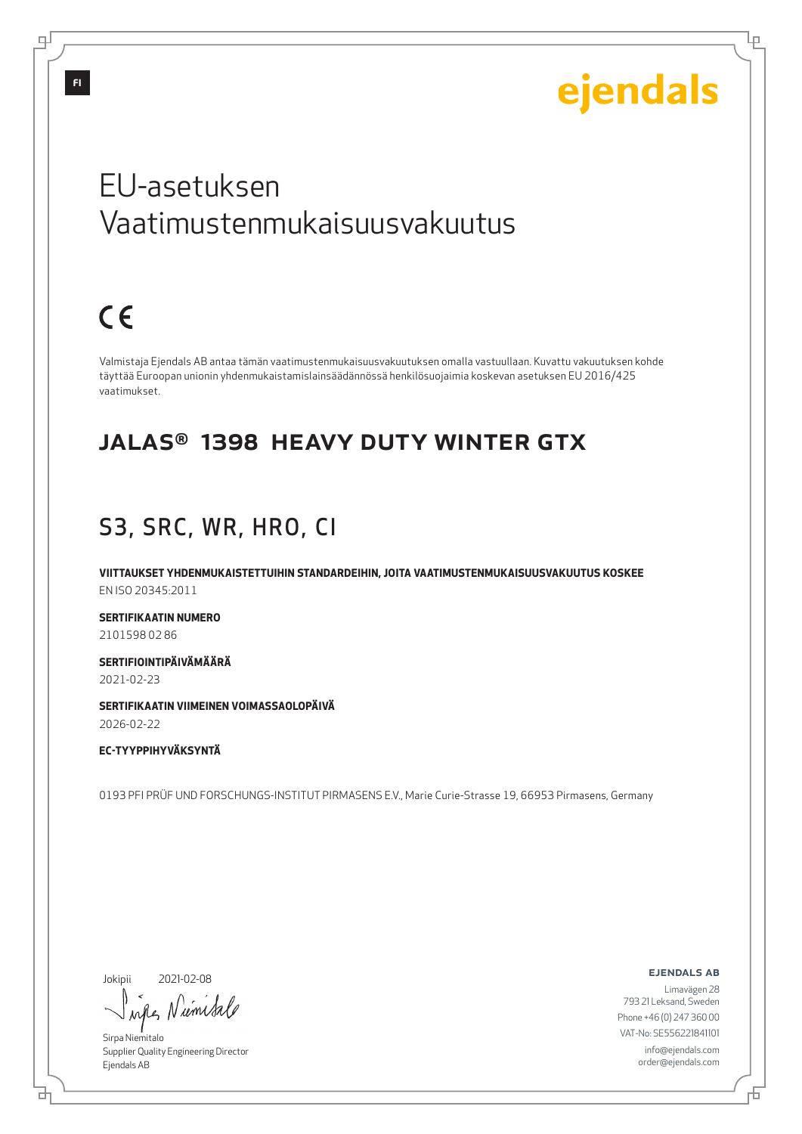Lр

### EU-asetuksen Vaatimustenmukaisuusvakuutus

# $C \in$

Valmistaja Ejendals AB antaa tämän vaatimustenmukaisuusvakuutuksen omalla vastuullaan. Kuvattu vakuutuksen kohde täyttää Euroopan unionin yhdenmukaistamislainsäädännössä henkilösuojaimia koskevan asetuksen EU 2016/425 vaatimukset.

#### JALAS® 1398 HEAVY DUTY WINTER GTX

### S3, SRC, WR, HRO, CI

**VIITTAUKSET YHDENMUKAISTETTUIHIN STANDARDEIHIN, JOITA VAATIMUSTENMUKAISUUSVAKUUTUS KOSKEE** EN ISO 20345:2011

**SERTIFIKAATIN NUMERO** 2101598 02 86

**SERTIFIOINTIPÄIVÄMÄÄRÄ** 2021-02-23

**SERTIFIKAATIN VIIMEINEN VOIMASSAOLOPÄIVÄ** 2026-02-22

#### **EC-TYYPPIHYVÄKSYNTÄ**

0193 PFI PRÜF UND FORSCHUNGS-INSTITUT PIRMASENS E.V., Marie Curie-Strasse 19, 66953 Pirmasens, Germany

Jokipii

б

2021-02-08

wife, Niemital

Sirpa Niemitalo Supplier Quality Engineering Director Ejendals AB

ejendals ab

Limavägen 28 793 21 Leksand, Sweden Phone +46 (0) 247 360 00 VAT-No: SE556221841101 info@ejendals.com order@ejendals.com

டி

**FI**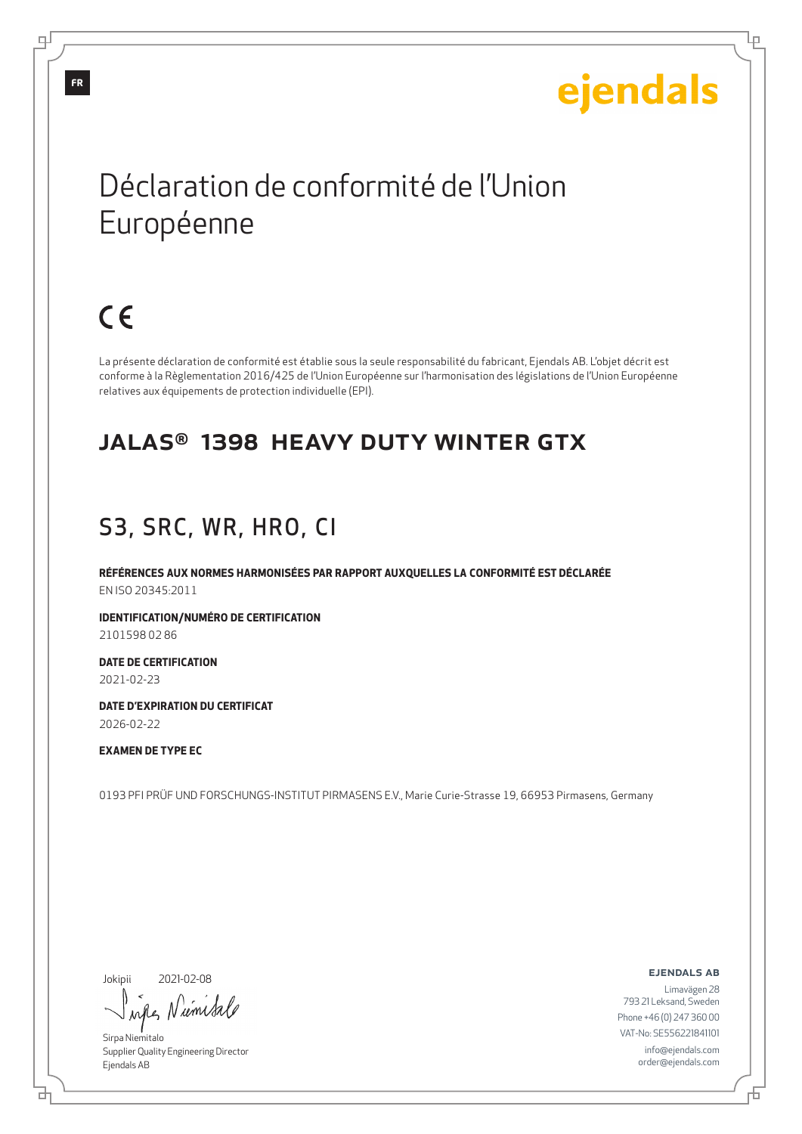Lр

### Déclaration de conformité de l'Union Européenne

## $C \in$

La présente déclaration de conformité est établie sous la seule responsabilité du fabricant, Ejendals AB. L'objet décrit est conforme à la Règlementation 2016/425 de l'Union Européenne sur l'harmonisation des législations de l'Union Européenne relatives aux équipements de protection individuelle (EPI).

#### JALAS® 1398 HEAVY DUTY WINTER GTX

### S3, SRC, WR, HRO, CI

**RÉFÉRENCES AUX NORMES HARMONISÉES PAR RAPPORT AUXQUELLES LA CONFORMITÉ EST DÉCLARÉE** EN ISO 20345:2011

**IDENTIFICATION/NUMÉRO DE CERTIFICATION** 2101598 02 86

**DATE DE CERTIFICATION** 2021-02-23

**DATE D'EXPIRATION DU CERTIFICAT** 2026-02-22

#### **EXAMEN DE TYPE EC**

0193 PFI PRÜF UND FORSCHUNGS-INSTITUT PIRMASENS E.V., Marie Curie-Strasse 19, 66953 Pirmasens, Germany

Jokipii

브

2021-02-08

wife, Niemisa

Sirpa Niemitalo Supplier Quality Engineering Director Ejendals AB

ejendals ab

Б

Limavägen 28 793 21 Leksand, Sweden Phone +46 (0) 247 360 00 VAT-No: SE556221841101 info@ejendals.com order@ejendals.com

₫

**FR**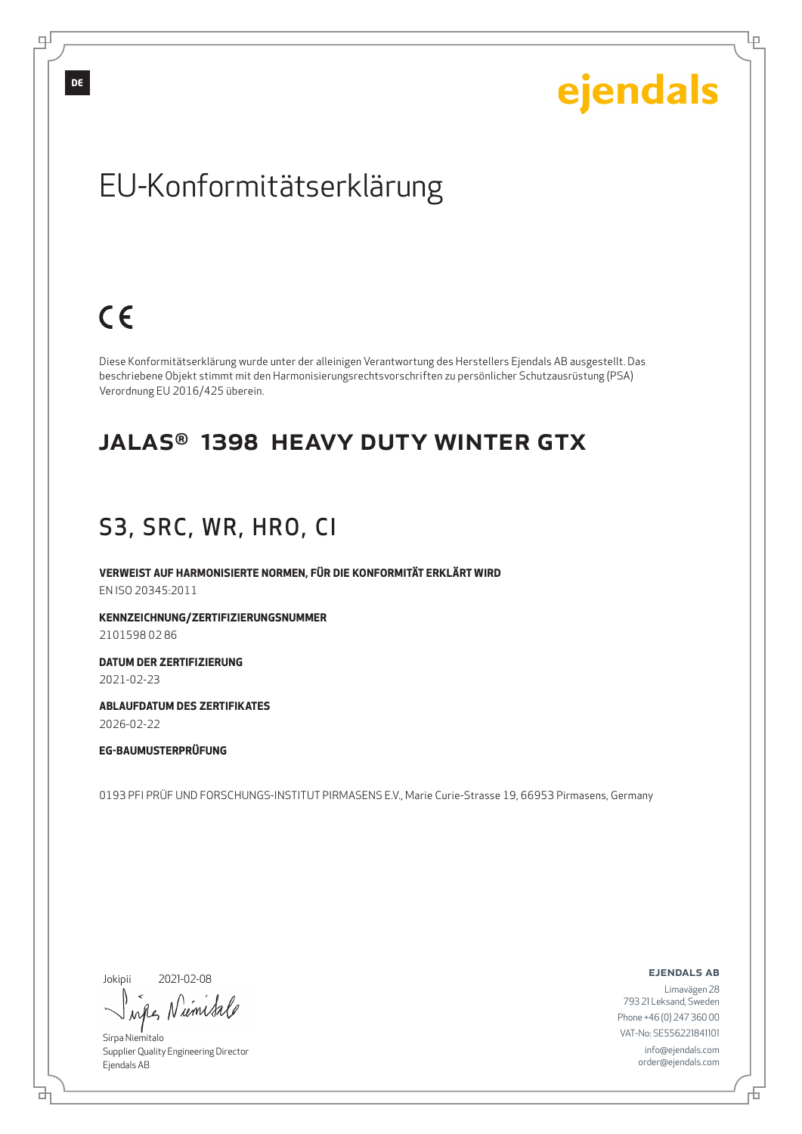Lр

## EU-Konformitätserklärung

## $C \in$

Diese Konformitätserklärung wurde unter der alleinigen Verantwortung des Herstellers Ejendals AB ausgestellt. Das beschriebene Objekt stimmt mit den Harmonisierungsrechtsvorschriften zu persönlicher Schutzausrüstung (PSA) Verordnung EU 2016/425 überein.

#### JALAS® 1398 HEAVY DUTY WINTER GTX

#### S3, SRC, WR, HRO, CI

**VERWEIST AUF HARMONISIERTE NORMEN, FÜR DIE KONFORMITÄT ERKLÄRT WIRD** EN ISO 20345:2011

**KENNZEICHNUNG/ZERTIFIZIERUNGSNUMMER** 2101598 02 86

**DATUM DER ZERTIFIZIERUNG**

2021-02-23

**ABLAUFDATUM DES ZERTIFIKATES** 2026-02-22

**EG-BAUMUSTERPRÜFUNG**

0193 PFI PRÜF UND FORSCHUNGS-INSTITUT PIRMASENS E.V., Marie Curie-Strasse 19, 66953 Pirmasens, Germany

Jokipii

브

2021-02-08

wife Numita

Sirpa Niemitalo Supplier Quality Engineering Director Ejendals AB

ejendals ab

Б

Limavägen 28 793 21 Leksand, Sweden Phone +46 (0) 247 360 00 VAT-No: SE556221841101 info@ejendals.com order@ejendals.com

டி

**DE**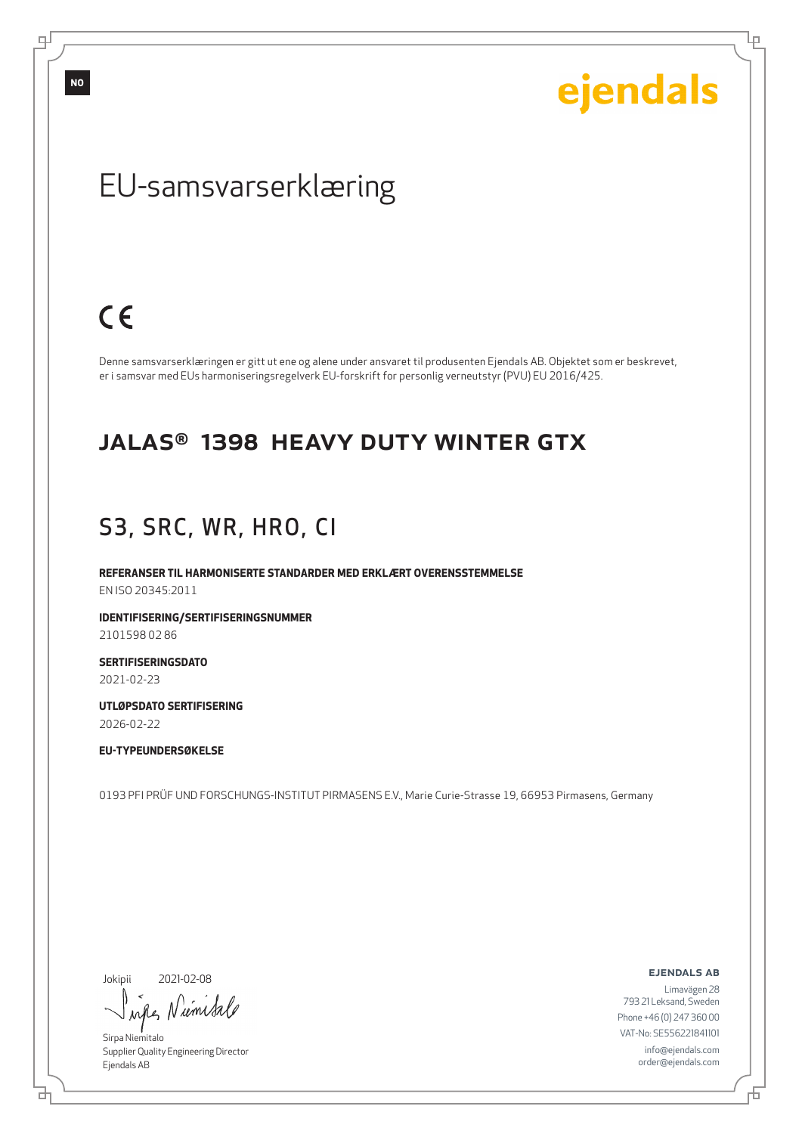ejendals

Ļμ

### EU-samsvarserklæring

### $C \in$

Denne samsvarserklæringen er gitt ut ene og alene under ansvaret til produsenten Ejendals AB. Objektet som er beskrevet, er i samsvar med EUs harmoniseringsregelverk EU-forskrift for personlig verneutstyr (PVU) EU 2016/425.

#### JALAS® 1398 HEAVY DUTY WINTER GTX

### S3, SRC, WR, HRO, CI

**REFERANSER TIL HARMONISERTE STANDARDER MED ERKLÆRT OVERENSSTEMMELSE** EN ISO 20345:2011

**IDENTIFISERING/SERTIFISERINGSNUMMER**

2101598 02 86

**SERTIFISERINGSDATO**

2021-02-23

**UTLØPSDATO SERTIFISERING** 2026-02-22

#### **EU-TYPEUNDERSØKELSE**

0193 PFI PRÜF UND FORSCHUNGS-INSTITUT PIRMASENS E.V., Marie Curie-Strasse 19, 66953 Pirmasens, Germany

Jokipii

브

2021-02-08

wife Niemital

Sirpa Niemitalo Supplier Quality Engineering Director Ejendals AB

ejendals ab

Б

Limavägen 28 793 21 Leksand, Sweden Phone +46 (0) 247 360 00 VAT-No: SE556221841101 info@ejendals.com order@ejendals.com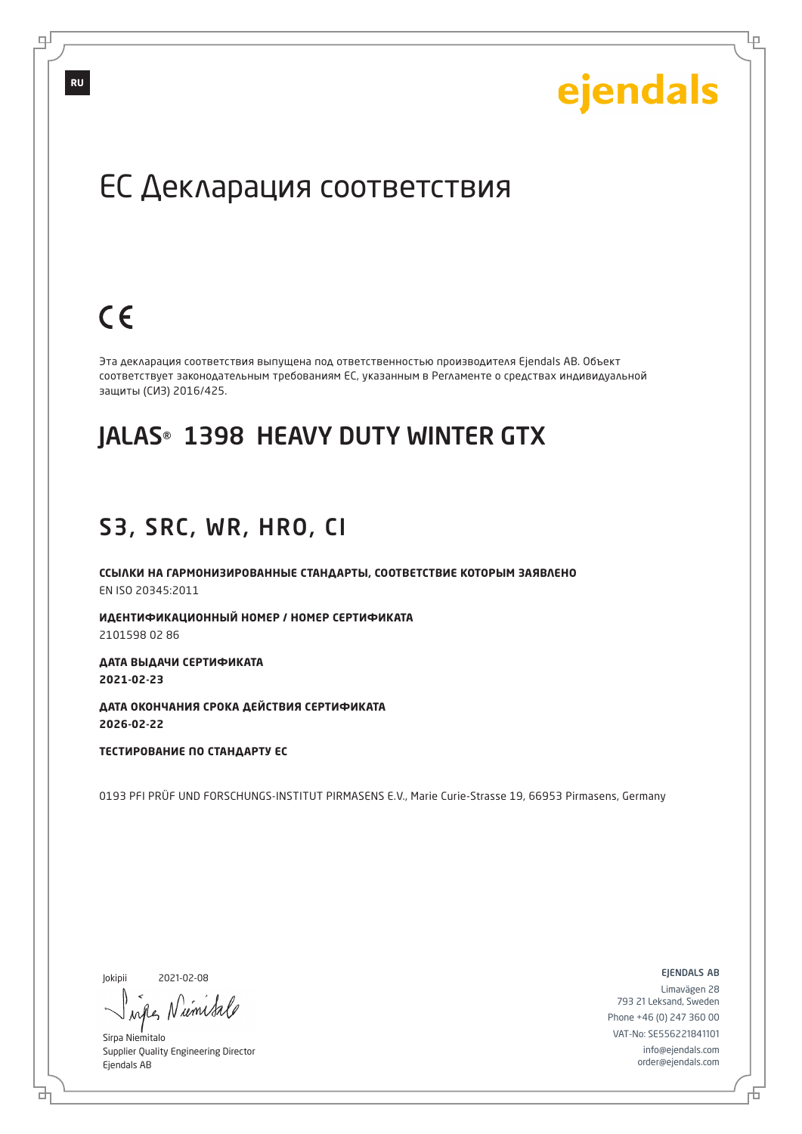Lр

### ЕС Декларация соответствия

## $C \in$

Эта декларация соответствия выпущена под ответственностью производителя Ejendals AB. Объект соответствует законодательным требованиям ЕС, указанным в Регламенте о средствах индивидуальной защиты (СИЗ) 2016/425.

### JALAS® 1398 HEAVY DUTY WINTER GTX

#### S3, SRC, WR, HRO, CI

**ССЫЛКИ НА ГАРМОНИЗИРОВАННЫЕ СТАНДАРТЫ, СООТВЕТСТВИЕ КОТОРЫМ ЗАЯВЛЕНО** EN ISO 20345:2011

**ИДЕНТИФИКАЦИОННЫЙ НОМЕР / НОМЕР СЕРТИФИКАТА** 2101598 02 86

**ДАТА ВЫДАЧИ СЕРТИФИКАТА 2021-02-23**

**ДАТА ОКОНЧАНИЯ СРОКА ДЕЙСТВИЯ СЕРТИФИКАТА 2026-02-22**

**ТЕСТИРОВАНИЕ ПО СТАНДАРТУ ЕС** 

0193 PFI PRÜF UND FORSCHUNGS-INSTITUT PIRMASENS E.V., Marie Curie-Strasse 19, 66953 Pirmasens, Germany

Jokipii

б

2021-02-08

when Numita

Sirpa Niemitalo Supplier Quality Engineering Director Ejendals AB

ejendals ab

Б

Limavägen 28 793 21 Leksand, Sweden Phone +46 (0) 247 360 00 VAT-No: SE556221841101 info@ejendals.com order@ejendals.com

**RU**

டி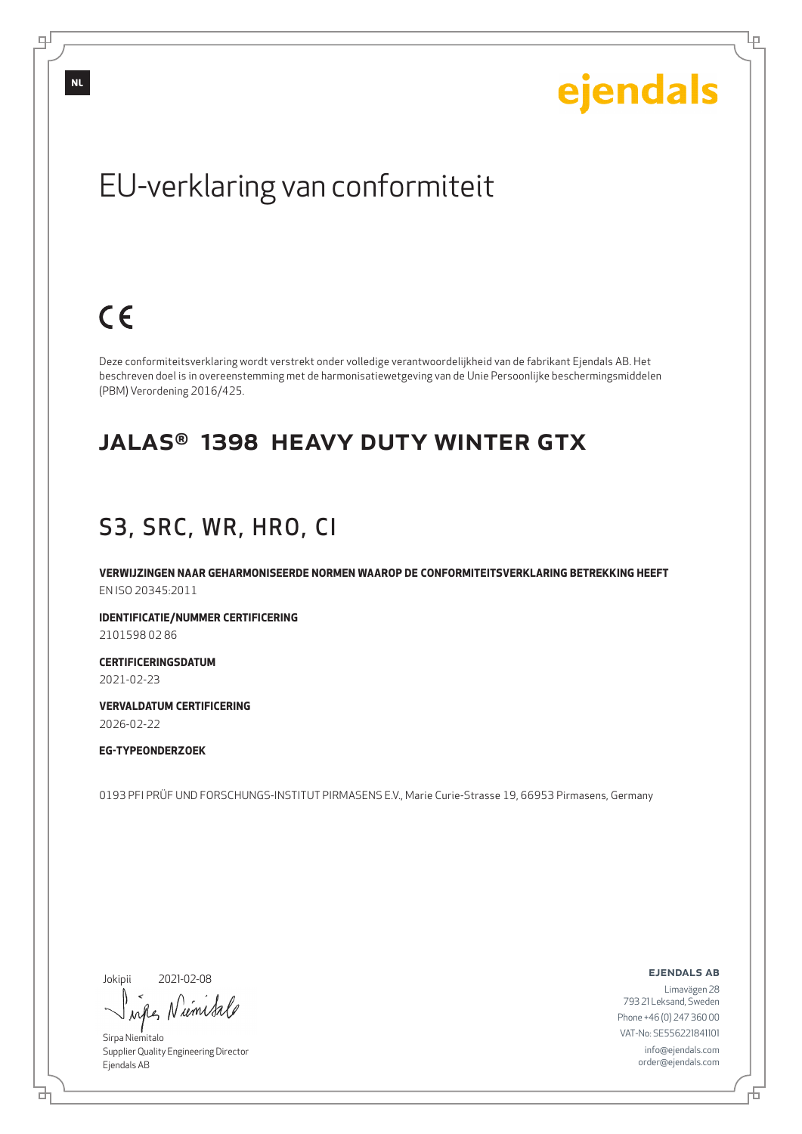## EU-verklaring van conformiteit

## $C \in$

Deze conformiteitsverklaring wordt verstrekt onder volledige verantwoordelijkheid van de fabrikant Ejendals AB. Het beschreven doel is in overeenstemming met de harmonisatiewetgeving van de Unie Persoonlijke beschermingsmiddelen (PBM) Verordening 2016/425.

#### JALAS® 1398 HEAVY DUTY WINTER GTX

#### S3, SRC, WR, HRO, CI

**VERWIJZINGEN NAAR GEHARMONISEERDE NORMEN WAAROP DE CONFORMITEITSVERKLARING BETREKKING HEEFT** EN ISO 20345:2011

**IDENTIFICATIE/NUMMER CERTIFICERING** 2101598 02 86

**CERTIFICERINGSDATUM**

2021-02-23

**VERVALDATUM CERTIFICERING** 2026-02-22

#### **EG-TYPEONDERZOEK**

0193 PFI PRÜF UND FORSCHUNGS-INSTITUT PIRMASENS E.V., Marie Curie-Strasse 19, 66953 Pirmasens, Germany

Jokipii

브

2021-02-08

wifes Niemisa

Sirpa Niemitalo Supplier Quality Engineering Director Ejendals AB

ejendals ab

Limavägen 28 793 21 Leksand, Sweden Phone +46 (0) 247 360 00 VAT-No: SE556221841101 info@ejendals.com order@ejendals.com

டி

**NL**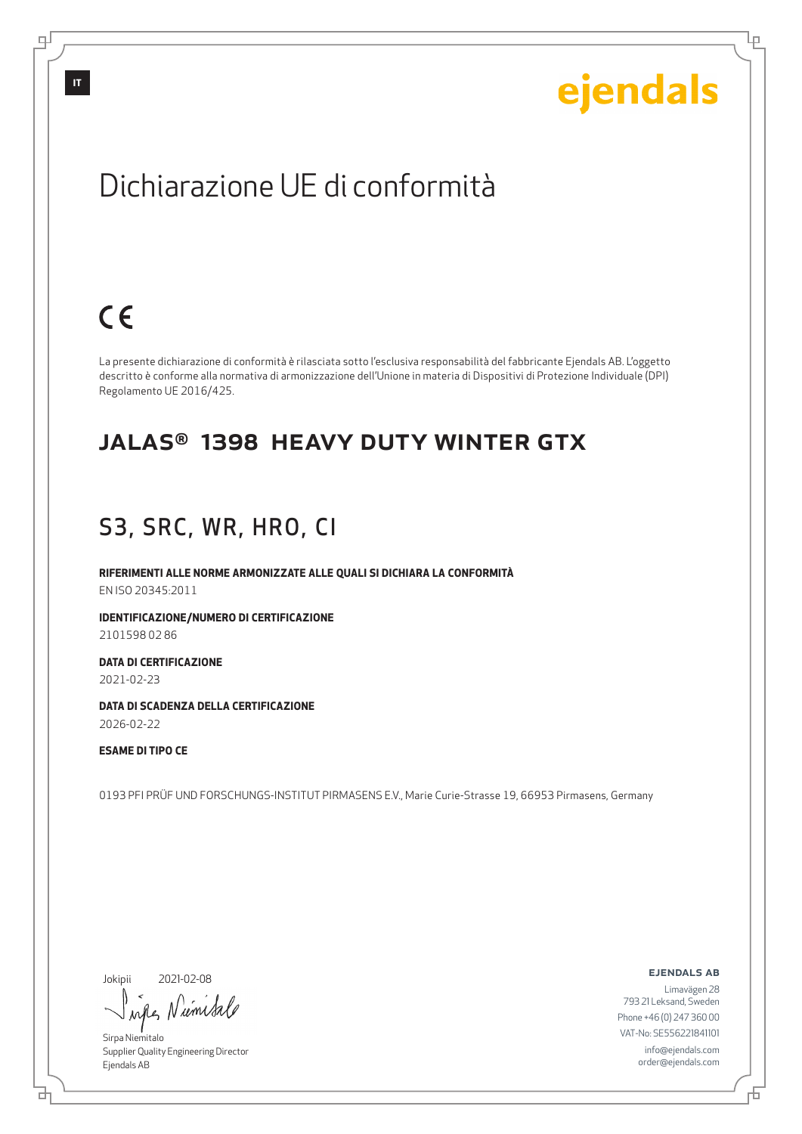### Dichiarazione UE di conformità

## $C \in$

La presente dichiarazione di conformità è rilasciata sotto l'esclusiva responsabilità del fabbricante Ejendals AB. L'oggetto descritto è conforme alla normativa di armonizzazione dell'Unione in materia di Dispositivi di Protezione Individuale (DPI) Regolamento UE 2016/425.

#### JALAS® 1398 HEAVY DUTY WINTER GTX

### S3, SRC, WR, HRO, CI

**RIFERIMENTI ALLE NORME ARMONIZZATE ALLE QUALI SI DICHIARA LA CONFORMITÀ** EN ISO 20345:2011

**IDENTIFICAZIONE/NUMERO DI CERTIFICAZIONE** 2101598 02 86

**DATA DI CERTIFICAZIONE** 2021-02-23

**DATA DI SCADENZA DELLA CERTIFICAZIONE** 2026-02-22

#### **ESAME DI TIPO CE**

0193 PFI PRÜF UND FORSCHUNGS-INSTITUT PIRMASENS E.V., Marie Curie-Strasse 19, 66953 Pirmasens, Germany

Jokipii

브

2021-02-08

wife Niemisa

Sirpa Niemitalo Supplier Quality Engineering Director Ejendals AB

ejendals ab

Б

Limavägen 28 793 21 Leksand, Sweden Phone +46 (0) 247 360 00 VAT-No: SE556221841101 info@ejendals.com order@ejendals.com

₫

**IT**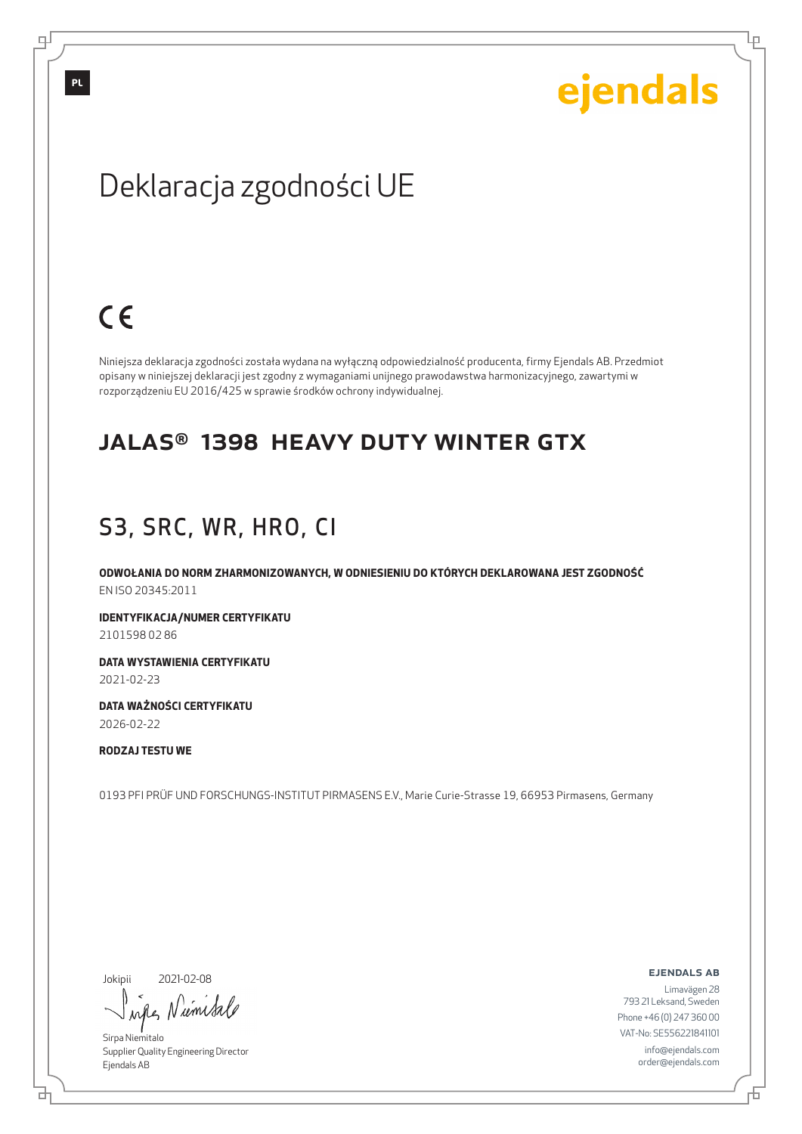Lр

## Deklaracja zgodności UE

## $C \in$

Niniejsza deklaracja zgodności została wydana na wyłączną odpowiedzialność producenta, firmy Ejendals AB. Przedmiot opisany w niniejszej deklaracji jest zgodny z wymaganiami unijnego prawodawstwa harmonizacyjnego, zawartymi w rozporządzeniu EU 2016/425 w sprawie środków ochrony indywidualnej.

#### JALAS® 1398 HEAVY DUTY WINTER GTX

### S3, SRC, WR, HRO, CI

**ODWOŁANIA DO NORM ZHARMONIZOWANYCH, W ODNIESIENIU DO KTÓRYCH DEKLAROWANA JEST ZGODNOŚĆ** EN ISO 20345:2011

**IDENTYFIKACJA/NUMER CERTYFIKATU** 2101598 02 86

**DATA WYSTAWIENIA CERTYFIKATU** 2021-02-23

**DATA WAŻNOŚCI CERTYFIKATU** 2026-02-22

**RODZAJ TESTU WE**

0193 PFI PRÜF UND FORSCHUNGS-INSTITUT PIRMASENS E.V., Marie Curie-Strasse 19, 66953 Pirmasens, Germany

Jokipii

2021-02-08

wife Nimital

Sirpa Niemitalo Supplier Quality Engineering Director Ejendals AB

ejendals ab

Б

Limavägen 28 793 21 Leksand, Sweden Phone +46 (0) 247 360 00 VAT-No: SE556221841101 info@ejendals.com order@ejendals.com

டி

**PL**

브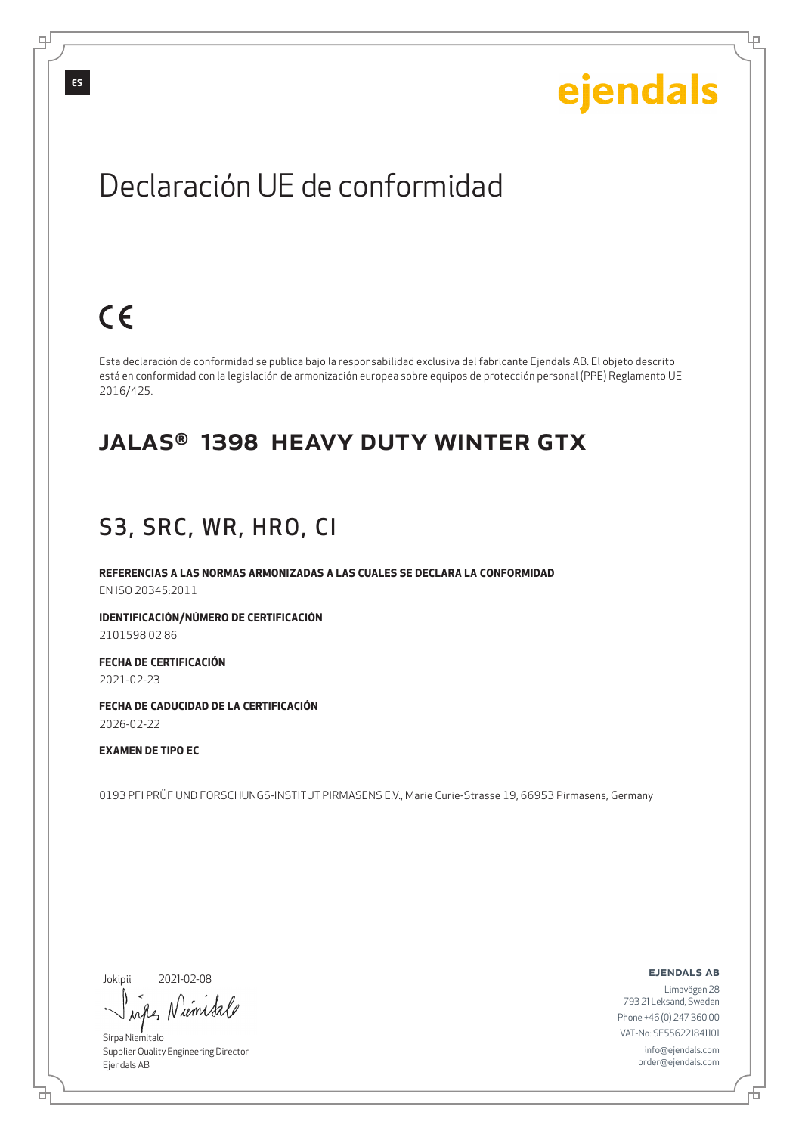Lр

### Declaración UE de conformidad

## $C \in$

Esta declaración de conformidad se publica bajo la responsabilidad exclusiva del fabricante Ejendals AB. El objeto descrito está en conformidad con la legislación de armonización europea sobre equipos de protección personal (PPE) Reglamento UE 2016/425.

#### JALAS® 1398 HEAVY DUTY WINTER GTX

### S3, SRC, WR, HRO, CI

**REFERENCIAS A LAS NORMAS ARMONIZADAS A LAS CUALES SE DECLARA LA CONFORMIDAD** EN ISO 20345:2011

**IDENTIFICACIÓN/NÚMERO DE CERTIFICACIÓN** 2101598 02 86

**FECHA DE CERTIFICACIÓN** 2021-02-23

**FECHA DE CADUCIDAD DE LA CERTIFICACIÓN** 2026-02-22

#### **EXAMEN DE TIPO EC**

0193 PFI PRÜF UND FORSCHUNGS-INSTITUT PIRMASENS E.V., Marie Curie-Strasse 19, 66953 Pirmasens, Germany

Jokipii

브

2021-02-08

wife Niemisa

Sirpa Niemitalo Supplier Quality Engineering Director Ejendals AB

ejendals ab

Limavägen 28 793 21 Leksand, Sweden Phone +46 (0) 247 360 00 VAT-No: SE556221841101 info@ejendals.com order@ejendals.com

டி

**ES**

Б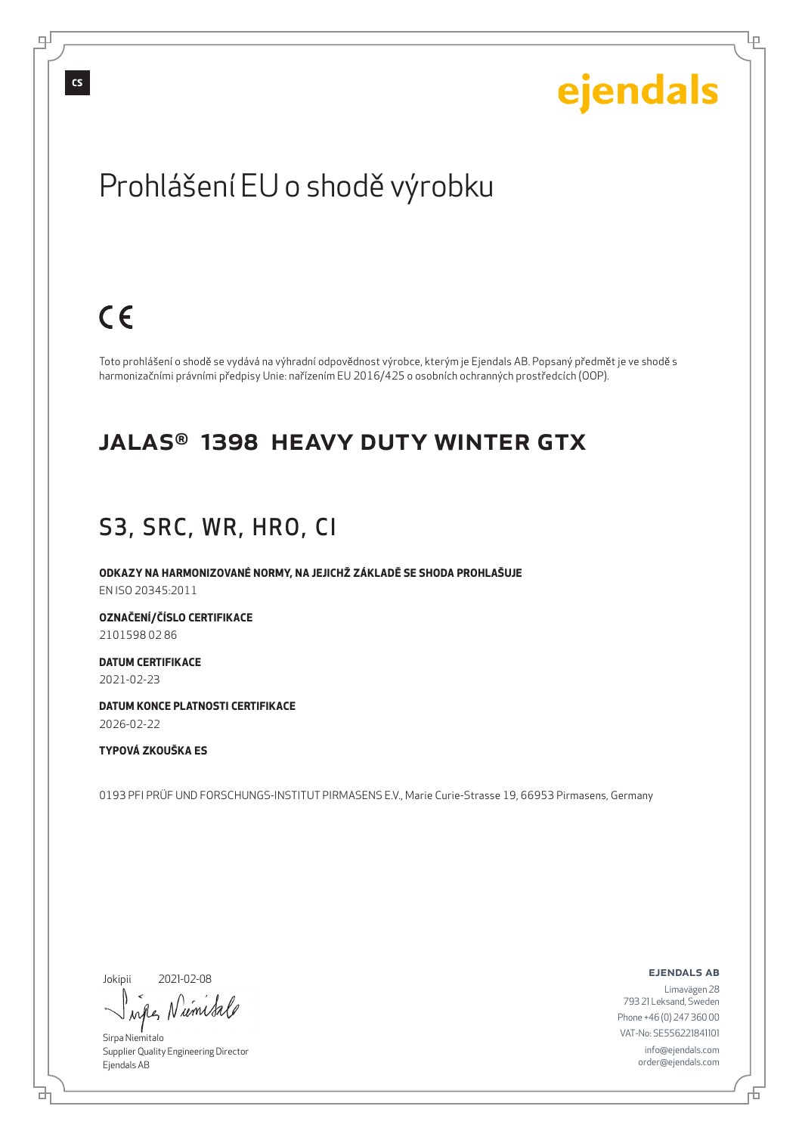# ejendals

Lр

## Prohlášení EU o shodě výrobku

## $C<sub>6</sub>$

Toto prohlášení o shodě se vydává na výhradní odpovědnost výrobce, kterým je Ejendals AB. Popsaný předmět je ve shodě s harmonizačními právními předpisy Unie: nařízením EU 2016/425 o osobních ochranných prostředcích (OOP).

#### JALAS® 1398 HEAVY DUTY WINTER GTX

### S3, SRC, WR, HRO, CI

**ODKAZY NA HARMONIZOVANÉ NORMY, NA JEJICHŽ ZÁKLADĚ SE SHODA PROHLAŠUJE** EN ISO 20345:2011

**OZNAČENÍ/ČÍSLO CERTIFIKACE**

2101598 02 86

**DATUM CERTIFIKACE** 2021-02-23

**DATUM KONCE PLATNOSTI CERTIFIKACE** 2026-02-22

#### **TYPOVÁ ZKOUŠKA ES**

0193 PFI PRÜF UND FORSCHUNGS-INSTITUT PIRMASENS E.V., Marie Curie-Strasse 19, 66953 Pirmasens, Germany

Jokipii

브

2021-02-08

wifes Niemisa

Sirpa Niemitalo Supplier Quality Engineering Director Ejendals AB

ejendals ab

Б

Limavägen 28 793 21 Leksand, Sweden Phone +46 (0) 247 360 00 VAT-No: SE556221841101 info@ejendals.com order@ejendals.com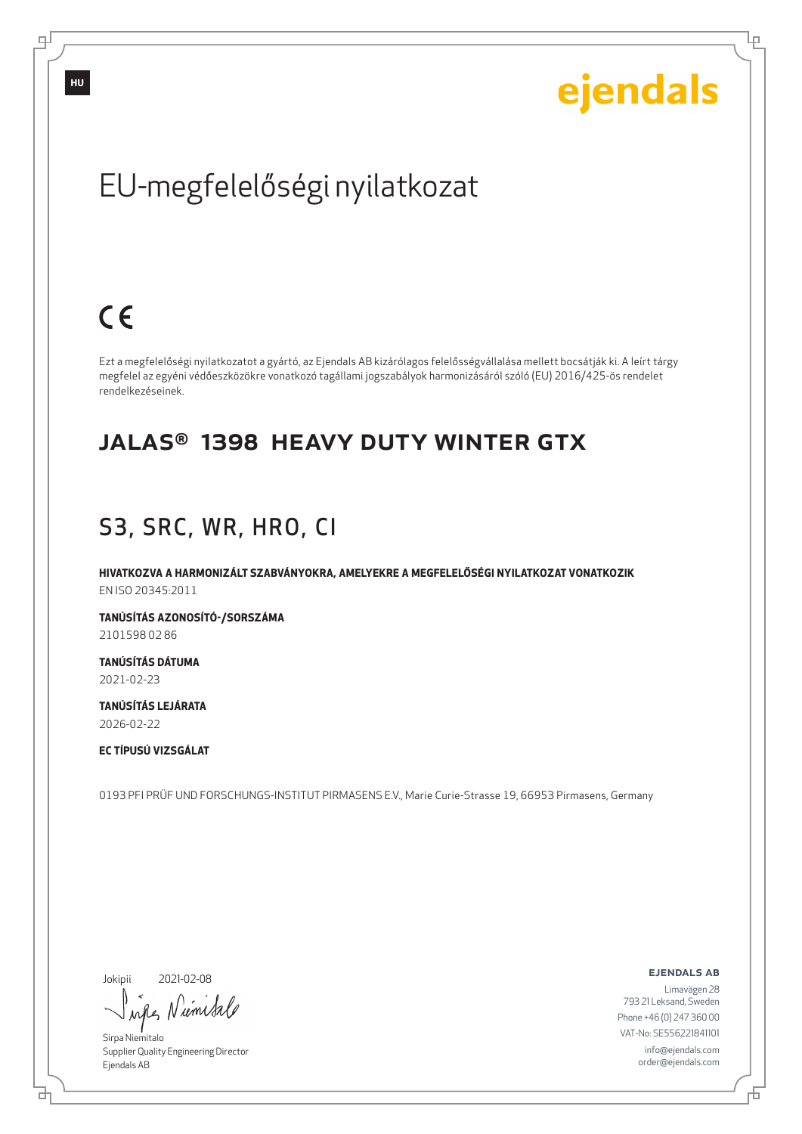## EU-megfelelőségi nyilatkozat

## $C \in$

Ezt a megfelelőségi nyilatkozatot a gyártó, az Ejendals AB kizárólagos felelősségvállalása mellett bocsátják ki. A leírt tárgy megfelel az egyéni védőeszközökre vonatkozó tagállami jogszabályok harmonizásáról szóló (EU) 2016/425-ös rendelet rendelkezéseinek.

#### JALAS® 1398 HEAVY DUTY WINTER GTX

### S3, SRC, WR, HRO, CI

**HIVATKOZVA A HARMONIZÁLT SZABVÁNYOKRA, AMELYEKRE A MEGFELELŐSÉGI NYILATKOZAT VONATKOZIK** EN ISO 20345:2011

**TANÚSÍTÁS AZONOSÍTÓ-/SORSZÁMA** 2101598 02 86

**TANÚSÍTÁS DÁTUMA** 2021-02-23

**TANÚSÍTÁS LEJÁRATA** 2026-02-22

**EC TÍPUSÚ VIZSGÁLAT**

0193 PFI PRÜF UND FORSCHUNGS-INSTITUT PIRMASENS E.V., Marie Curie-Strasse 19, 66953 Pirmasens, Germany

Jokipii

브

2021-02-08

wife Niemisa

Sirpa Niemitalo Supplier Quality Engineering Director Ejendals AB

ejendals ab

Б

Limavägen 28 793 21 Leksand, Sweden Phone +46 (0) 247 360 00 VAT-No: SE556221841101 info@ejendals.com order@ejendals.com

டி

**HU**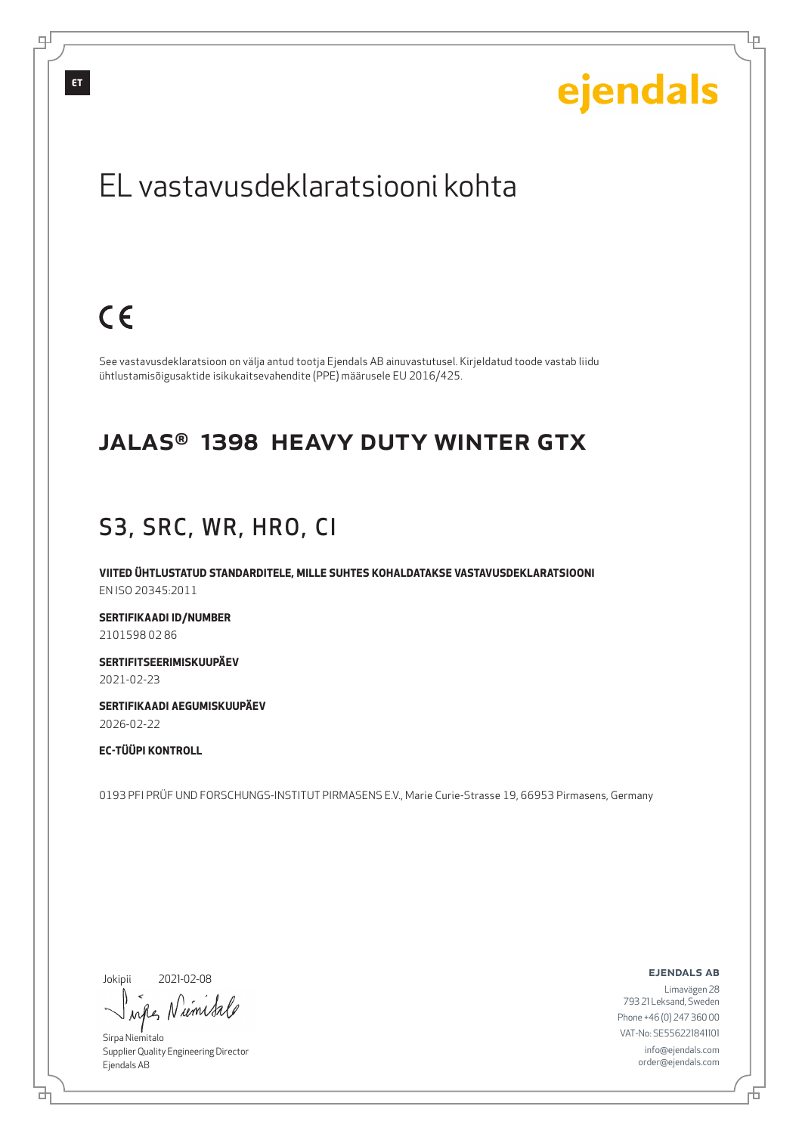### EL vastavusdeklaratsiooni kohta

### $C<sub>6</sub>$

See vastavusdeklaratsioon on välja antud tootja Ejendals AB ainuvastutusel. Kirjeldatud toode vastab liidu ühtlustamisõigusaktide isikukaitsevahendite (PPE) määrusele EU 2016/425.

#### JALAS® 1398 HEAVY DUTY WINTER GTX

### S3, SRC, WR, HRO, CI

**VIITED ÜHTLUSTATUD STANDARDITELE, MILLE SUHTES KOHALDATAKSE VASTAVUSDEKLARATSIOONI** EN ISO 20345:2011

**SERTIFIKAADI ID/NUMBER** 2101598 02 86

**SERTIFITSEERIMISKUUPÄEV** 2021-02-23

**SERTIFIKAADI AEGUMISKUUPÄEV** 2026-02-22

**EC-TÜÜPI KONTROLL**

0193 PFI PRÜF UND FORSCHUNGS-INSTITUT PIRMASENS E.V., Marie Curie-Strasse 19, 66953 Pirmasens, Germany

Jokipii

브

2021-02-08

wife Niemisa

Sirpa Niemitalo Supplier Quality Engineering Director Ejendals AB

ejendals ab

Б

Limavägen 28 793 21 Leksand, Sweden Phone +46 (0) 247 360 00 VAT-No: SE556221841101 info@ejendals.com order@ejendals.com

டி

**ET**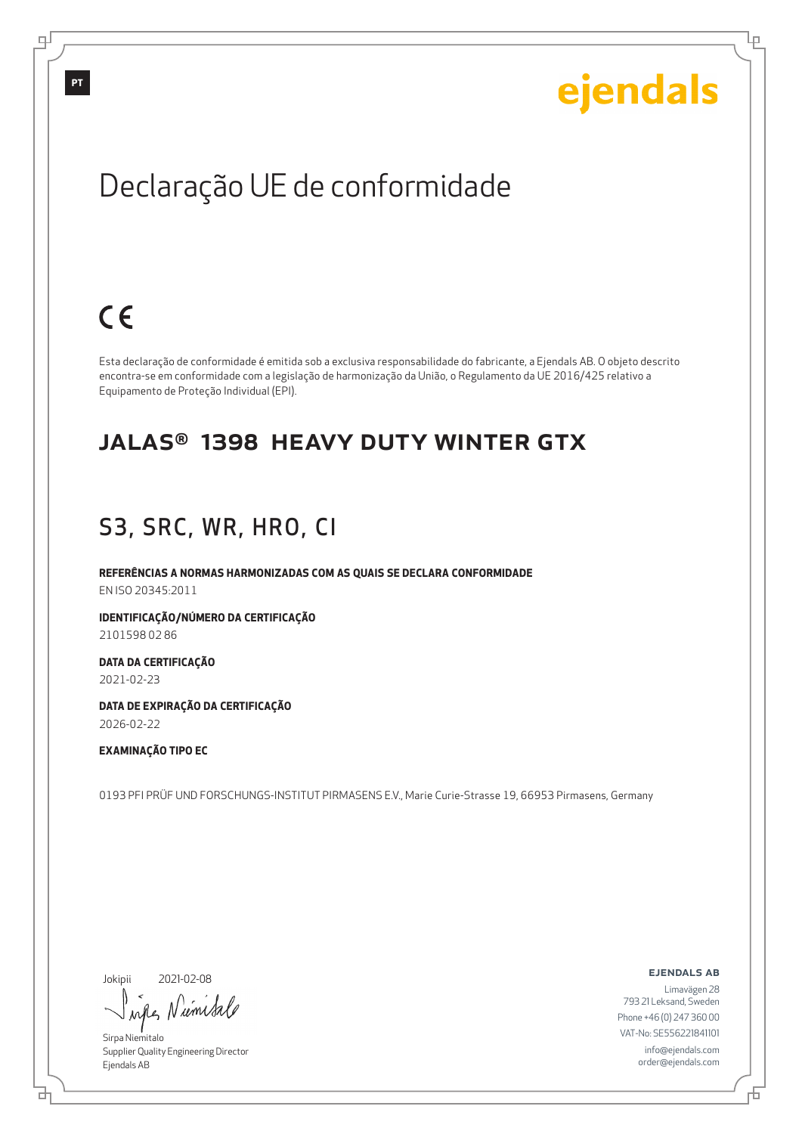Lр

## Declaração UE de conformidade

### $C \in$

Esta declaração de conformidade é emitida sob a exclusiva responsabilidade do fabricante, a Ejendals AB. O objeto descrito encontra-se em conformidade com a legislação de harmonização da União, o Regulamento da UE 2016/425 relativo a Equipamento de Proteção Individual (EPI).

#### JALAS® 1398 HEAVY DUTY WINTER GTX

#### S3, SRC, WR, HRO, CI

**REFERÊNCIAS A NORMAS HARMONIZADAS COM AS QUAIS SE DECLARA CONFORMIDADE** EN ISO 20345:2011

**IDENTIFICAÇÃO/NÚMERO DA CERTIFICAÇÃO** 2101598 02 86

**DATA DA CERTIFICAÇÃO**

2021-02-23

**DATA DE EXPIRAÇÃO DA CERTIFICAÇÃO** 2026-02-22

#### **EXAMINAÇÃO TIPO EC**

0193 PFI PRÜF UND FORSCHUNGS-INSTITUT PIRMASENS E.V., Marie Curie-Strasse 19, 66953 Pirmasens, Germany

Jokipii

브

2021-02-08

wife Numita

Sirpa Niemitalo Supplier Quality Engineering Director Ejendals AB

ejendals ab

Б

Limavägen 28 793 21 Leksand, Sweden Phone +46 (0) 247 360 00 VAT-No: SE556221841101 info@ejendals.com order@ejendals.com

டி

**PT**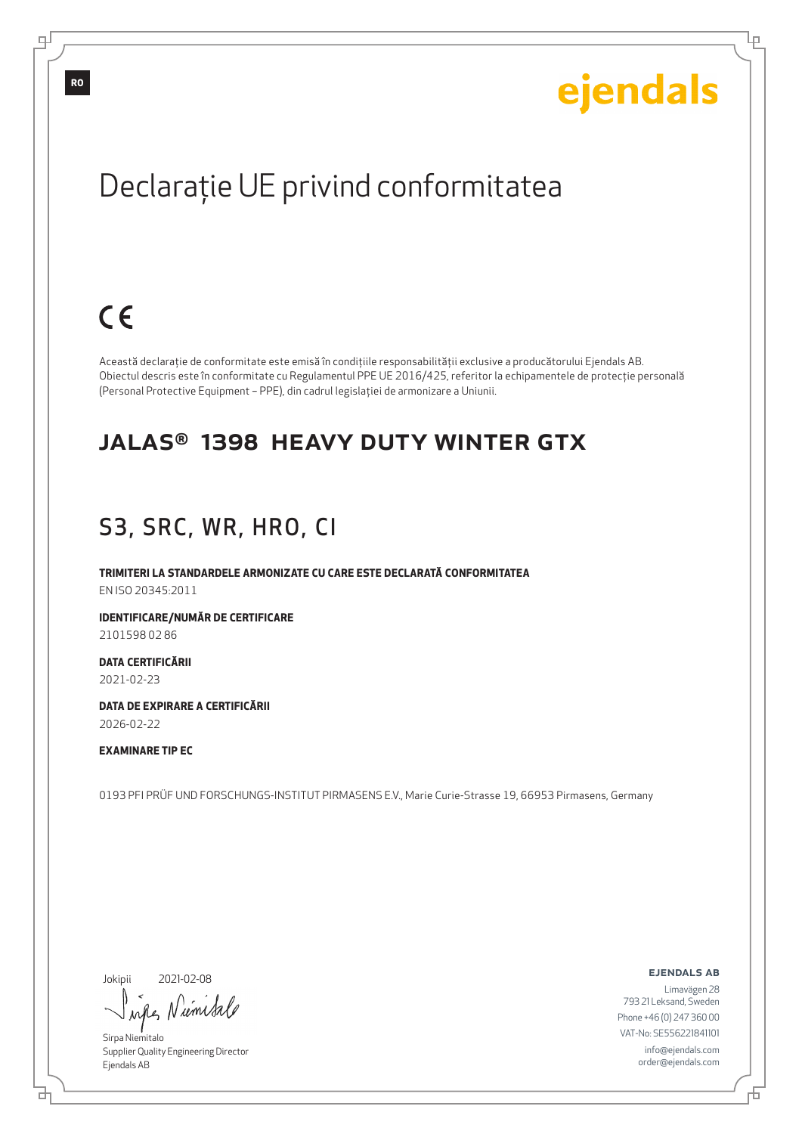Lр

## Declaraţie UE privind conformitatea

## $C \in$

Această declaraţie de conformitate este emisă în condiţiile responsabilităţii exclusive a producătorului Ejendals AB. Obiectul descris este în conformitate cu Regulamentul PPE UE 2016/425, referitor la echipamentele de protecţie personală (Personal Protective Equipment – PPE), din cadrul legislaţiei de armonizare a Uniunii.

#### JALAS® 1398 HEAVY DUTY WINTER GTX

### S3, SRC, WR, HRO, CI

**TRIMITERI LA STANDARDELE ARMONIZATE CU CARE ESTE DECLARATĂ CONFORMITATEA** EN ISO 20345:2011

**IDENTIFICARE/NUMĂR DE CERTIFICARE**

2101598 02 86

**DATA CERTIFICĂRII** 2021-02-23

**DATA DE EXPIRARE A CERTIFICĂRII** 2026-02-22

#### **EXAMINARE TIP EC**

0193 PFI PRÜF UND FORSCHUNGS-INSTITUT PIRMASENS E.V., Marie Curie-Strasse 19, 66953 Pirmasens, Germany

Jokipii

б

2021-02-08

wife Numita

Sirpa Niemitalo Supplier Quality Engineering Director Ejendals AB

ejendals ab

Б

Limavägen 28 793 21 Leksand, Sweden Phone +46 (0) 247 360 00 VAT-No: SE556221841101 info@ejendals.com order@ejendals.com

டி

**RO**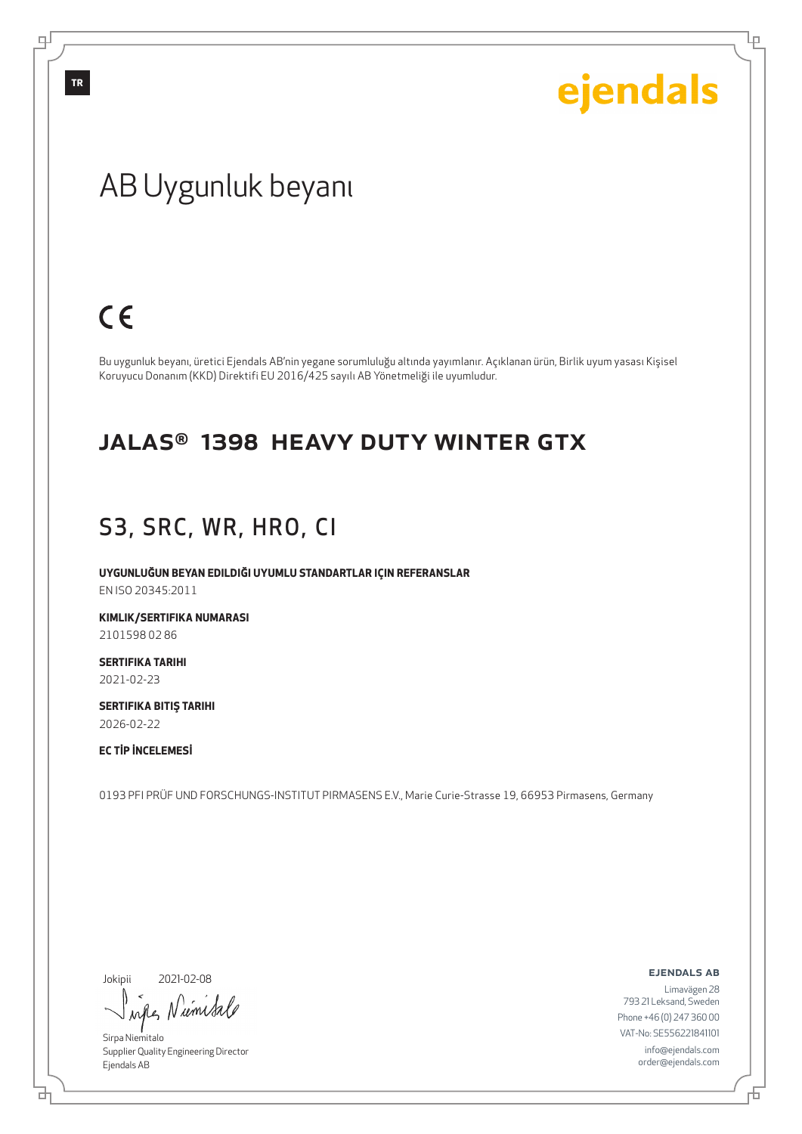Ļμ

### AB Uygunluk beyanı

### $C<sub>6</sub>$

Bu uygunluk beyanı, üretici Ejendals AB'nin yegane sorumluluğu altında yayımlanır. Açıklanan ürün, Birlik uyum yasası Kişisel Koruyucu Donanım (KKD) Direktifi EU 2016/425 sayılı AB Yönetmeliği ile uyumludur.

#### JALAS® 1398 HEAVY DUTY WINTER GTX

### S3, SRC, WR, HRO, CI

**UYGUNLUĞUN BEYAN EDILDIĞI UYUMLU STANDARTLAR IÇIN REFERANSLAR** EN ISO 20345:2011

**KIMLIK/SERTIFIKA NUMARASI**

2101598 02 86

**SERTIFIKA TARIHI** 2021-02-23

**SERTIFIKA BITIŞ TARIHI** 2026-02-22

**EC TİP İNCELEMESİ**

0193 PFI PRÜF UND FORSCHUNGS-INSTITUT PIRMASENS E.V., Marie Curie-Strasse 19, 66953 Pirmasens, Germany

Jokipii

브

2021-02-08

wifes Numitale

Sirpa Niemitalo Supplier Quality Engineering Director Ejendals AB

ejendals ab

Limavägen 28 793 21 Leksand, Sweden Phone +46 (0) 247 360 00 VAT-No: SE556221841101 info@ejendals.com order@ejendals.com

டி

**TR**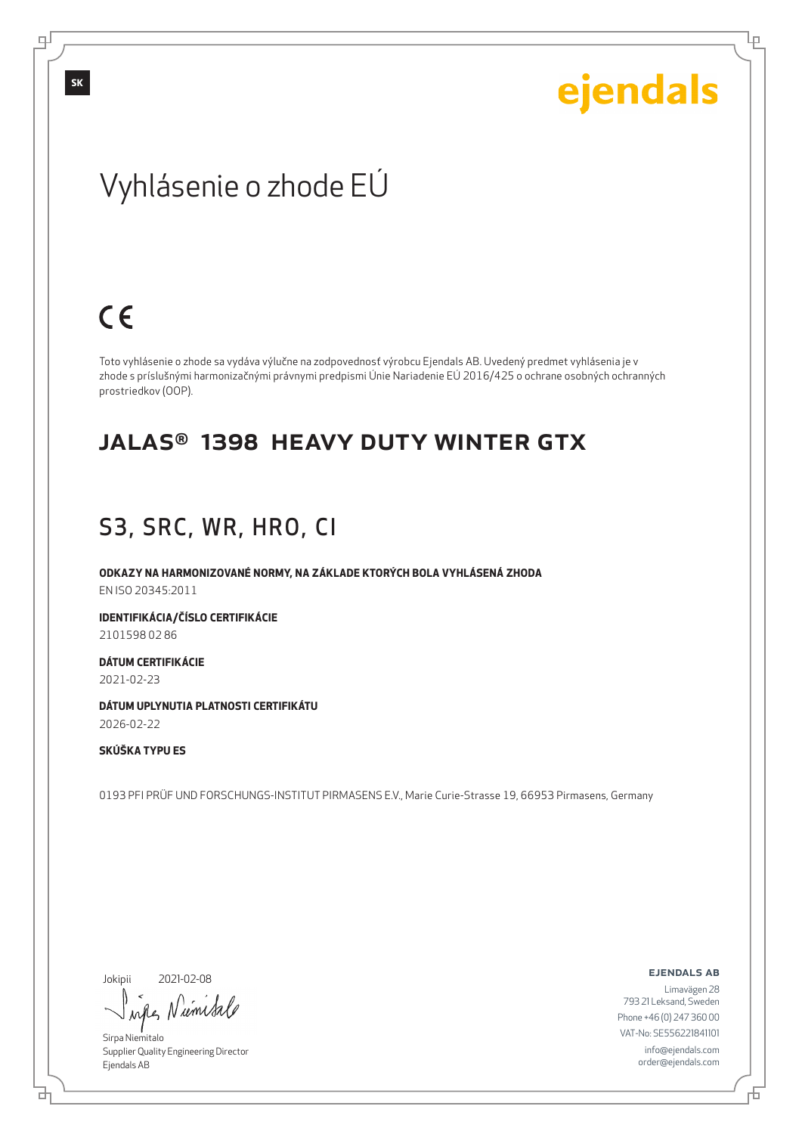Lр

### Vyhlásenie o zhode EÚ

## $C \in$

Toto vyhlásenie o zhode sa vydáva výlučne na zodpovednosť výrobcu Ejendals AB. Uvedený predmet vyhlásenia je v zhode s príslušnými harmonizačnými právnymi predpismi Únie Nariadenie EÚ 2016/425 o ochrane osobných ochranných prostriedkov (OOP).

#### JALAS® 1398 HEAVY DUTY WINTER GTX

### S3, SRC, WR, HRO, CI

**ODKAZY NA HARMONIZOVANÉ NORMY, NA ZÁKLADE KTORÝCH BOLA VYHLÁSENÁ ZHODA** EN ISO 20345:2011

**IDENTIFIKÁCIA/ČÍSLO CERTIFIKÁCIE** 2101598 02 86

**DÁTUM CERTIFIKÁCIE**

2021-02-23

**DÁTUM UPLYNUTIA PLATNOSTI CERTIFIKÁTU** 2026-02-22

#### **SKÚŠKA TYPU ES**

0193 PFI PRÜF UND FORSCHUNGS-INSTITUT PIRMASENS E.V., Marie Curie-Strasse 19, 66953 Pirmasens, Germany

Jokipii

브

2021-02-08

wife Numital

Sirpa Niemitalo Supplier Quality Engineering Director Ejendals AB

ejendals ab

Б

Limavägen 28 793 21 Leksand, Sweden Phone +46 (0) 247 360 00 VAT-No: SE556221841101 info@ejendals.com order@ejendals.com

டி

**SK**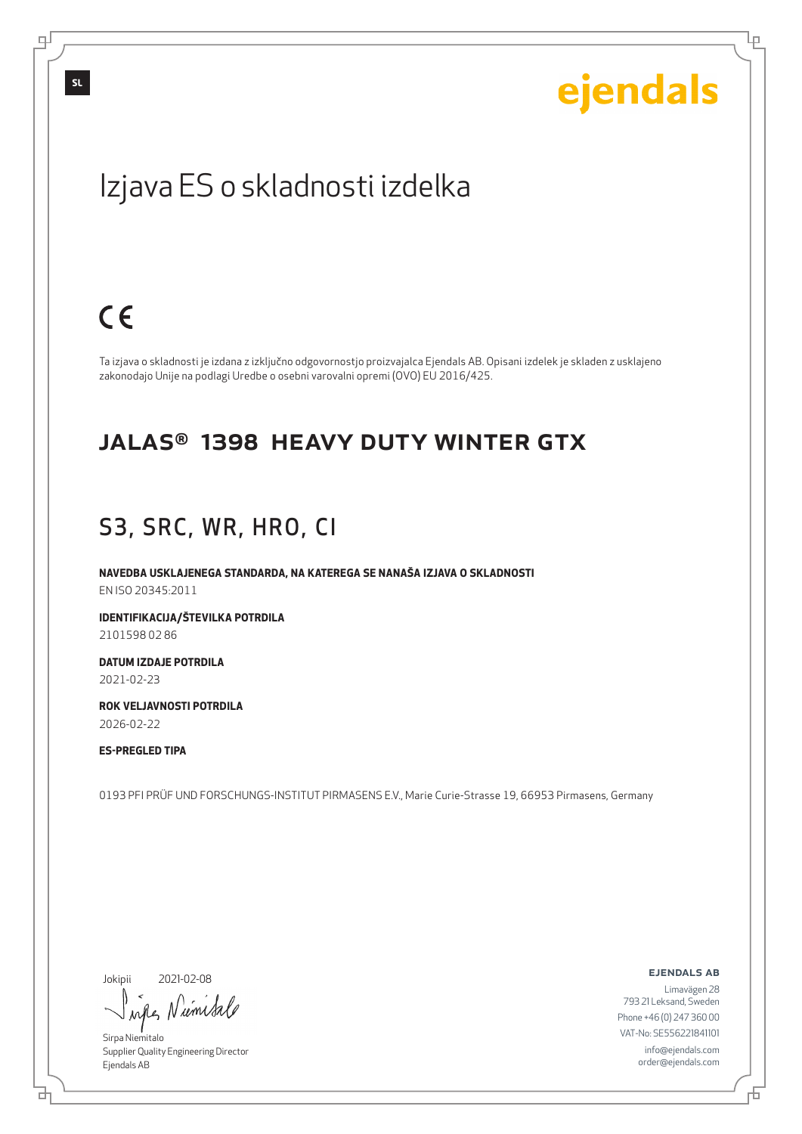Ļμ

## Izjava ES o skladnosti izdelka

### $C<sub>6</sub>$

Ta izjava o skladnosti je izdana z izključno odgovornostjo proizvajalca Ejendals AB. Opisani izdelek je skladen z usklajeno zakonodajo Unije na podlagi Uredbe o osebni varovalni opremi (OVO) EU 2016/425.

#### JALAS® 1398 HEAVY DUTY WINTER GTX

### S3, SRC, WR, HRO, CI

**NAVEDBA USKLAJENEGA STANDARDA, NA KATEREGA SE NANAŠA IZJAVA O SKLADNOSTI** EN ISO 20345:2011

**IDENTIFIKACIJA/ŠTEVILKA POTRDILA** 2101598 02 86

**DATUM IZDAJE POTRDILA** 2021-02-23

**ROK VELJAVNOSTI POTRDILA** 2026-02-22

**ES-PREGLED TIPA**

0193 PFI PRÜF UND FORSCHUNGS-INSTITUT PIRMASENS E.V., Marie Curie-Strasse 19, 66953 Pirmasens, Germany

Jokipii

브

2021-02-08

wifes Niemisa

Sirpa Niemitalo Supplier Quality Engineering Director Ejendals AB

ejendals ab

Limavägen 28 793 21 Leksand, Sweden Phone +46 (0) 247 360 00 VAT-No: SE556221841101 info@ejendals.com order@ejendals.com

டி

**SL**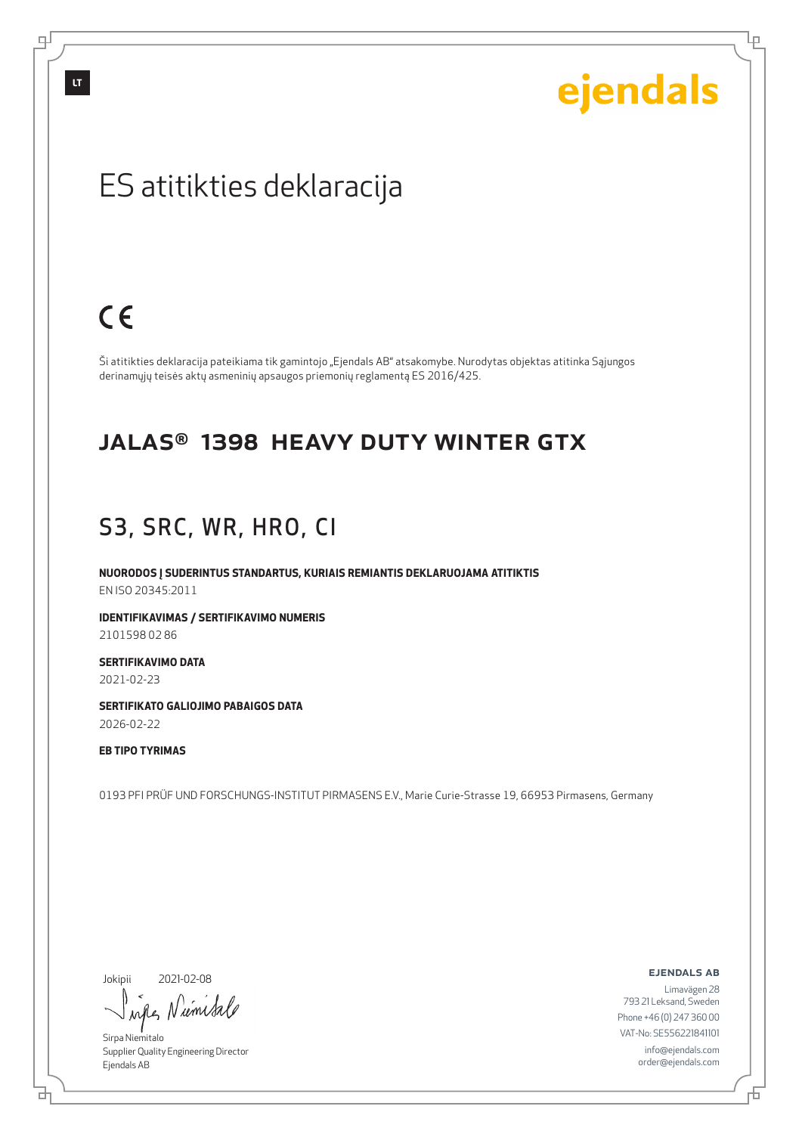ejendals

Ļμ

### ES atitikties deklaracija

### $C<sub>6</sub>$

Ši atitikties deklaracija pateikiama tik gamintojo "Ejendals AB" atsakomybe. Nurodytas objektas atitinka Sąjungos derinamųjų teisės aktų asmeninių apsaugos priemonių reglamentą ES 2016/425.

#### JALAS® 1398 HEAVY DUTY WINTER GTX

#### S3, SRC, WR, HRO, CI

**NUORODOS Į SUDERINTUS STANDARTUS, KURIAIS REMIANTIS DEKLARUOJAMA ATITIKTIS** EN ISO 20345:2011

**IDENTIFIKAVIMAS / SERTIFIKAVIMO NUMERIS**

2101598 02 86

**SERTIFIKAVIMO DATA** 2021-02-23

**SERTIFIKATO GALIOJIMO PABAIGOS DATA**

2026-02-22

#### **EB TIPO TYRIMAS**

0193 PFI PRÜF UND FORSCHUNGS-INSTITUT PIRMASENS E.V., Marie Curie-Strasse 19, 66953 Pirmasens, Germany

Jokipii

브

2021-02-08

wife Numital

Sirpa Niemitalo Supplier Quality Engineering Director Ejendals AB

ejendals ab

Limavägen 28 793 21 Leksand, Sweden Phone +46 (0) 247 360 00 VAT-No: SE556221841101 info@ejendals.com order@ejendals.com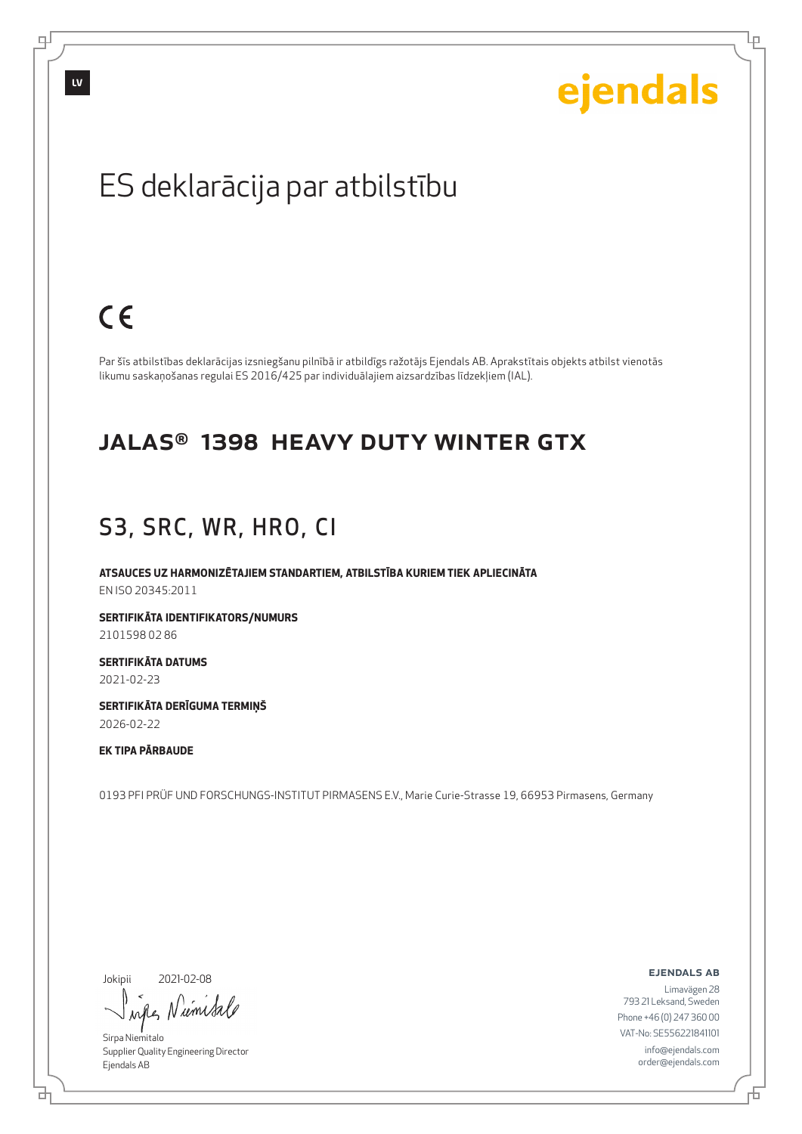# ejendals

Lр

## ES deklarācija par atbilstību

## $C<sub>6</sub>$

Par šīs atbilstības deklarācijas izsniegšanu pilnībā ir atbildīgs ražotājs Ejendals AB. Aprakstītais objekts atbilst vienotās likumu saskaņošanas regulai ES 2016/425 par individuālajiem aizsardzības līdzekļiem (IAL).

#### JALAS® 1398 HEAVY DUTY WINTER GTX

### S3, SRC, WR, HRO, CI

**ATSAUCES UZ HARMONIZĒTAJIEM STANDARTIEM, ATBILSTĪBA KURIEM TIEK APLIECINĀTA** EN ISO 20345:2011

**SERTIFIKĀTA IDENTIFIKATORS/NUMURS**

2101598 02 86

**SERTIFIKĀTA DATUMS** 2021-02-23

**SERTIFIKĀTA DERĪGUMA TERMIŅŠ** 2026-02-22

#### **EK TIPA PĀRBAUDE**

0193 PFI PRÜF UND FORSCHUNGS-INSTITUT PIRMASENS E.V., Marie Curie-Strasse 19, 66953 Pirmasens, Germany

#### Jokipii

브

2021-02-08

wife Niemisa

Sirpa Niemitalo Supplier Quality Engineering Director Ejendals AB

#### ejendals ab

Б

Limavägen 28 793 21 Leksand, Sweden Phone +46 (0) 247 360 00 VAT-No: SE556221841101 info@ejendals.com order@ejendals.com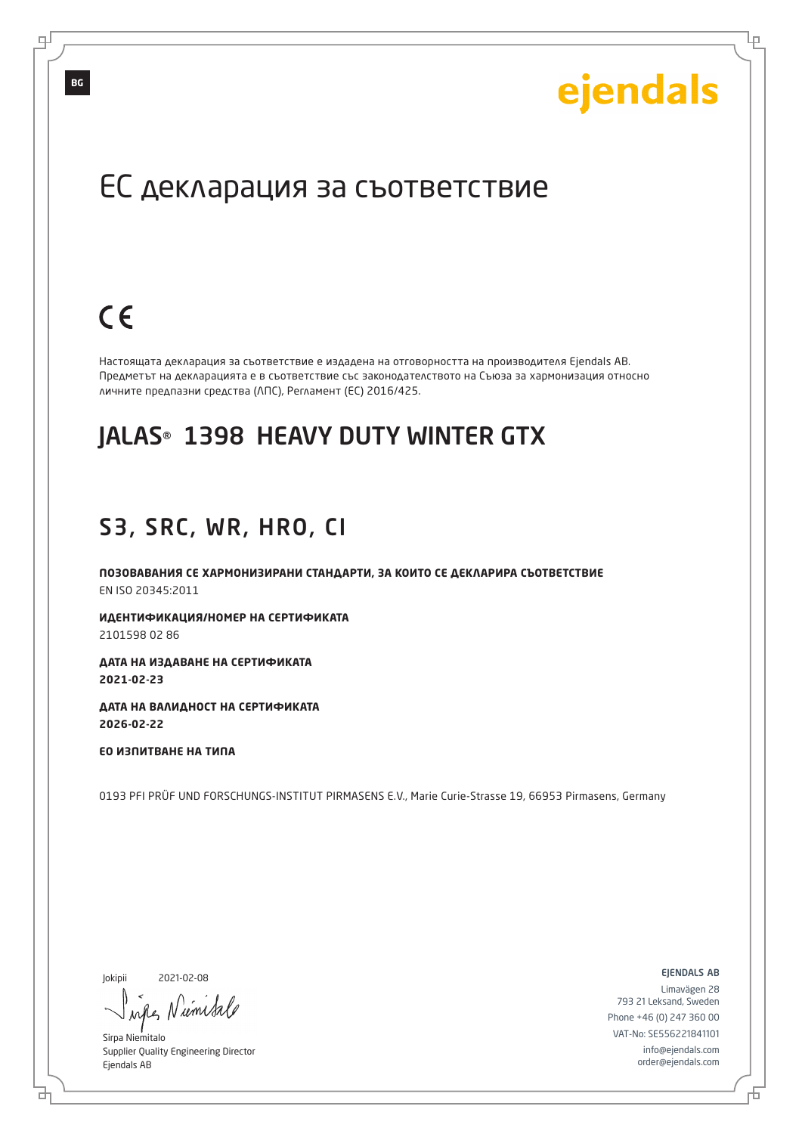Lр

### ЕС декларация за съответствие

## $C \in$

Настоящата декларация за съответствие е издадена на отговорността на производителя Ejendals AB. Предметът на декларацията е в съответствие със законодателството на Съюза за хармонизация относно личните предпазни средства (ЛПС), Регламент (ЕС) 2016/425.

### JALAS® 1398 HEAVY DUTY WINTER GTX

#### S3, SRC, WR, HRO, CI

**ПОЗОВАВАНИЯ СЕ ХАРМОНИЗИРАНИ СТАНДАРТИ, ЗА КОИТО СЕ ДЕКЛАРИРА СЪОТВЕТСТВИЕ** EN ISO 20345:2011

**ИДЕНТИФИКАЦИЯ/НОМЕР НА СЕРТИФИКАТА** 2101598 02 86

**ДАТА НА ИЗДАВАНЕ НА СЕРТИФИКАТА 2021-02-23**

**ДАТА НА ВАЛИДНОСТ НА СЕРТИФИКАТА 2026-02-22**

**ЕО ИЗПИТВАНЕ НА ТИПА**

0193 PFI PRÜF UND FORSCHUNGS-INSTITUT PIRMASENS E.V., Marie Curie-Strasse 19, 66953 Pirmasens, Germany

Jokipii

б

2021-02-08

wifes Niemisa

Sirpa Niemitalo Supplier Quality Engineering Director Ejendals AB

ejendals ab

Б

Limavägen 28 793 21 Leksand, Sweden Phone +46 (0) 247 360 00 VAT-No: SE556221841101 info@ejendals.com order@ejendals.com

டி

**BG**